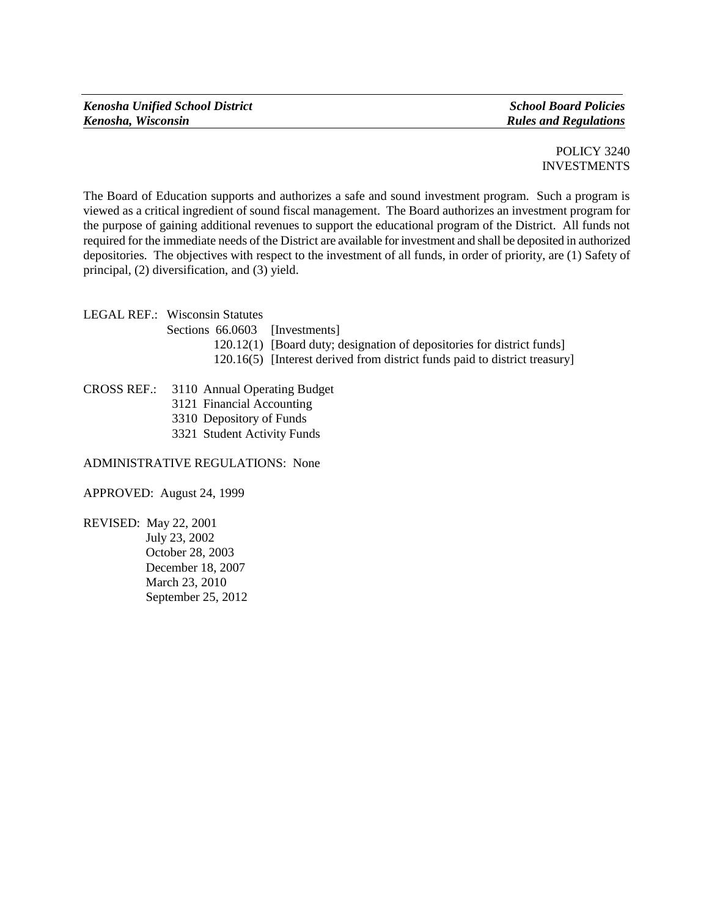POLICY 3240 INVESTMENTS

The Board of Education supports and authorizes a safe and sound investment program. Such a program is viewed as a critical ingredient of sound fiscal management. The Board authorizes an investment program for the purpose of gaining additional revenues to support the educational program of the District. All funds not required for the immediate needs of the District are available for investment and shall be deposited in authorized depositories. The objectives with respect to the investment of all funds, in order of priority, are (1) Safety of principal, (2) diversification, and (3) yield.

LEGAL REF.: Wisconsin Statutes

- Sections 66.0603 [Investments]
	- 120.12(1) [Board duty; designation of depositories for district funds]
	- 120.16(5) [Interest derived from district funds paid to district treasury]

CROSS REF.: 3110 Annual Operating Budget

- 3121 Financial Accounting
- 3310 Depository of Funds
- 3321 Student Activity Funds

ADMINISTRATIVE REGULATIONS: None

APPROVED: August 24, 1999

REVISED: May 22, 2001 July 23, 2002 October 28, 2003 December 18, 2007 March 23, 2010 September 25, 2012